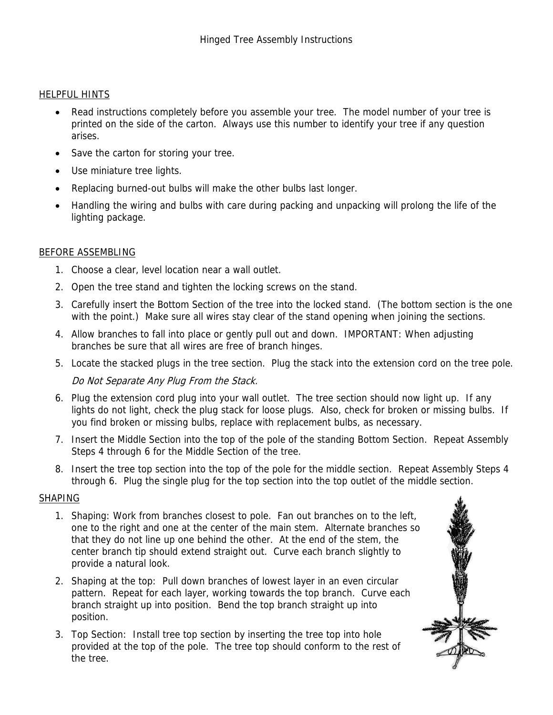#### HELPFUL HINTS

- Read instructions completely before you assemble your tree. The model number of your tree is printed on the side of the carton. Always use this number to identify your tree if any question arises.
- Save the carton for storing your tree.
- Use miniature tree lights.
- Replacing burned-out bulbs will make the other bulbs last longer.
- Handling the wiring and bulbs with care during packing and unpacking will prolong the life of the lighting package.

### BEFORE ASSEMBLING

- 1. Choose a clear, level location near a wall outlet.
- 2. Open the tree stand and tighten the locking screws on the stand.
- 3. Carefully insert the Bottom Section of the tree into the locked stand. (The bottom section is the one with the point.) Make sure all wires stay clear of the stand opening when joining the sections.
- 4. Allow branches to fall into place or gently pull out and down. IMPORTANT: When adjusting branches be sure that all wires are free of branch hinges.
- 5. Locate the stacked plugs in the tree section. Plug the stack into the extension cord on the tree pole.

# Do Not Separate Any Plug From the Stack.

- 6. Plug the extension cord plug into your wall outlet. The tree section should now light up. If any lights do not light, check the plug stack for loose plugs. Also, check for broken or missing bulbs. If you find broken or missing bulbs, replace with replacement bulbs, as necessary.
- 7. Insert the Middle Section into the top of the pole of the standing Bottom Section. Repeat Assembly Steps 4 through 6 for the Middle Section of the tree.
- 8. Insert the tree top section into the top of the pole for the middle section. Repeat Assembly Steps 4 through 6. Plug the single plug for the top section into the top outlet of the middle section.

#### SHAPING

- 1. Shaping: Work from branches closest to pole. Fan out branches on to the left, one to the right and one at the center of the main stem. Alternate branches so that they do not line up one behind the other. At the end of the stem, the center branch tip should extend straight out. Curve each branch slightly to provide a natural look.
- 2. Shaping at the top: Pull down branches of lowest layer in an even circular pattern. Repeat for each layer, working towards the top branch. Curve each branch straight up into position. Bend the top branch straight up into position.
- 3. Top Section: Install tree top section by inserting the tree top into hole provided at the top of the pole. The tree top should conform to the rest of the tree.